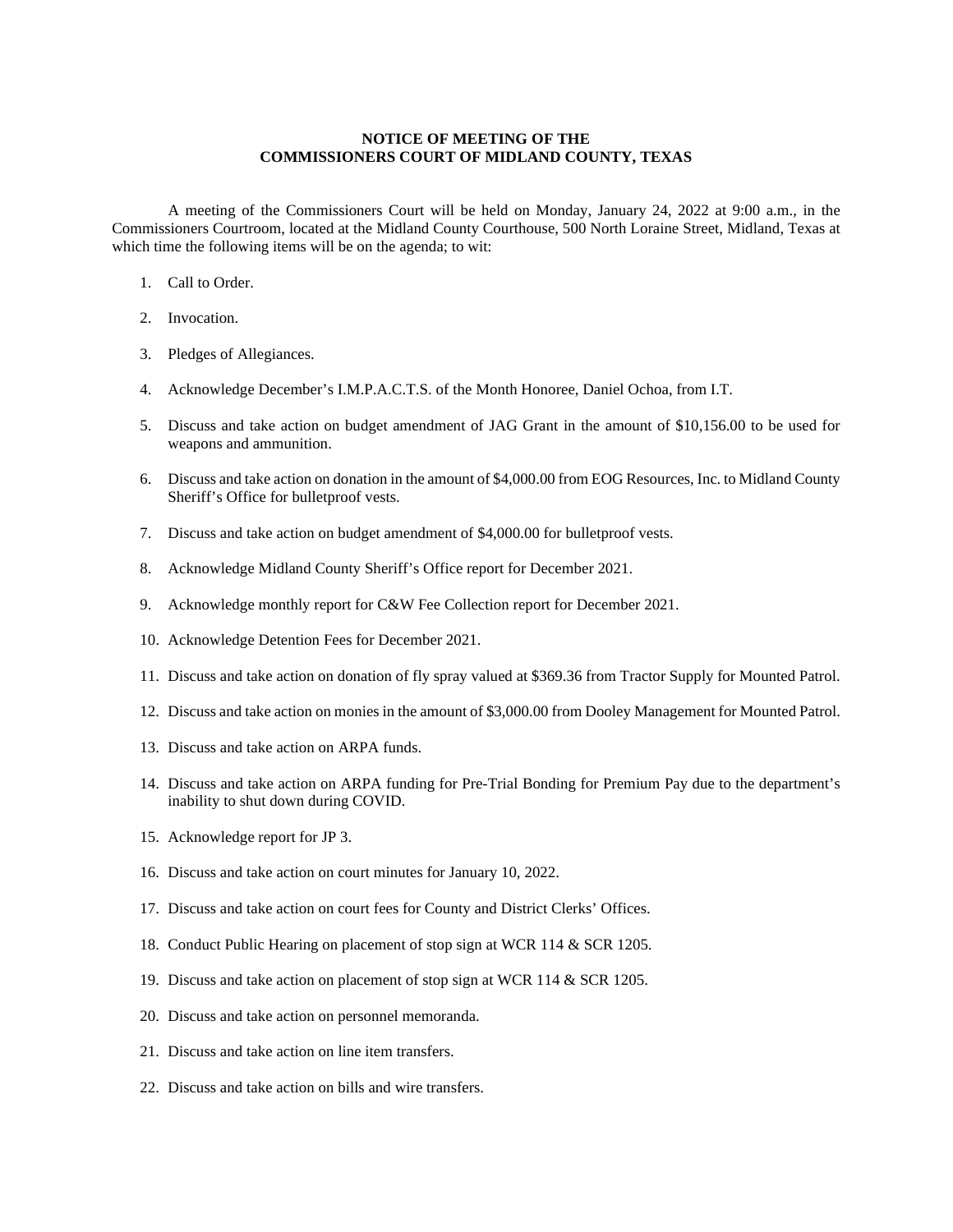## **NOTICE OF MEETING OF THE COMMISSIONERS COURT OF MIDLAND COUNTY, TEXAS**

A meeting of the Commissioners Court will be held on Monday, January 24, 2022 at 9:00 a.m., in the Commissioners Courtroom, located at the Midland County Courthouse, 500 North Loraine Street, Midland, Texas at which time the following items will be on the agenda; to wit:

- 1. Call to Order.
- 2. Invocation.
- 3. Pledges of Allegiances.
- 4. Acknowledge December's I.M.P.A.C.T.S. of the Month Honoree, Daniel Ochoa, from I.T.
- 5. Discuss and take action on budget amendment of JAG Grant in the amount of \$10,156.00 to be used for weapons and ammunition.
- 6. Discuss and take action on donation in the amount of \$4,000.00 from EOG Resources, Inc. to Midland County Sheriff's Office for bulletproof vests.
- 7. Discuss and take action on budget amendment of \$4,000.00 for bulletproof vests.
- 8. Acknowledge Midland County Sheriff's Office report for December 2021.
- 9. Acknowledge monthly report for C&W Fee Collection report for December 2021.
- 10. Acknowledge Detention Fees for December 2021.
- 11. Discuss and take action on donation of fly spray valued at \$369.36 from Tractor Supply for Mounted Patrol.
- 12. Discuss and take action on monies in the amount of \$3,000.00 from Dooley Management for Mounted Patrol.
- 13. Discuss and take action on ARPA funds.
- 14. Discuss and take action on ARPA funding for Pre-Trial Bonding for Premium Pay due to the department's inability to shut down during COVID.
- 15. Acknowledge report for JP 3.
- 16. Discuss and take action on court minutes for January 10, 2022.
- 17. Discuss and take action on court fees for County and District Clerks' Offices.
- 18. Conduct Public Hearing on placement of stop sign at WCR 114 & SCR 1205.
- 19. Discuss and take action on placement of stop sign at WCR 114 & SCR 1205.
- 20. Discuss and take action on personnel memoranda.
- 21. Discuss and take action on line item transfers.
- 22. Discuss and take action on bills and wire transfers.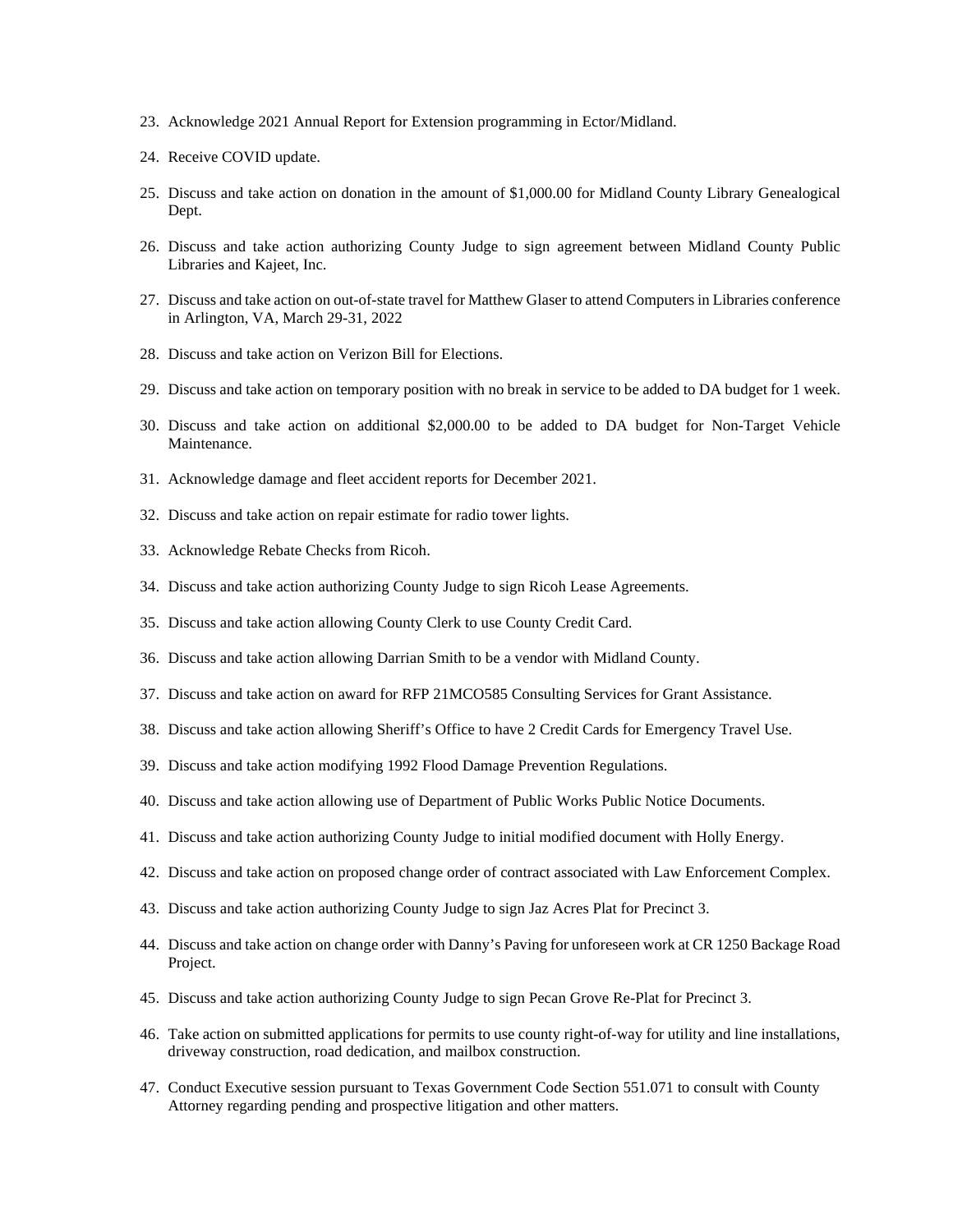- 23. Acknowledge 2021 Annual Report for Extension programming in Ector/Midland.
- 24. Receive COVID update.
- 25. Discuss and take action on donation in the amount of \$1,000.00 for Midland County Library Genealogical Dept.
- 26. Discuss and take action authorizing County Judge to sign agreement between Midland County Public Libraries and Kajeet, Inc.
- 27. Discuss and take action on out-of-state travel for Matthew Glaser to attend Computers in Libraries conference in Arlington, VA, March 29-31, 2022
- 28. Discuss and take action on Verizon Bill for Elections.
- 29. Discuss and take action on temporary position with no break in service to be added to DA budget for 1 week.
- 30. Discuss and take action on additional \$2,000.00 to be added to DA budget for Non-Target Vehicle Maintenance.
- 31. Acknowledge damage and fleet accident reports for December 2021.
- 32. Discuss and take action on repair estimate for radio tower lights.
- 33. Acknowledge Rebate Checks from Ricoh.
- 34. Discuss and take action authorizing County Judge to sign Ricoh Lease Agreements.
- 35. Discuss and take action allowing County Clerk to use County Credit Card.
- 36. Discuss and take action allowing Darrian Smith to be a vendor with Midland County.
- 37. Discuss and take action on award for RFP 21MCO585 Consulting Services for Grant Assistance.
- 38. Discuss and take action allowing Sheriff's Office to have 2 Credit Cards for Emergency Travel Use.
- 39. Discuss and take action modifying 1992 Flood Damage Prevention Regulations.
- 40. Discuss and take action allowing use of Department of Public Works Public Notice Documents.
- 41. Discuss and take action authorizing County Judge to initial modified document with Holly Energy.
- 42. Discuss and take action on proposed change order of contract associated with Law Enforcement Complex.
- 43. Discuss and take action authorizing County Judge to sign Jaz Acres Plat for Precinct 3.
- 44. Discuss and take action on change order with Danny's Paving for unforeseen work at CR 1250 Backage Road Project.
- 45. Discuss and take action authorizing County Judge to sign Pecan Grove Re-Plat for Precinct 3.
- 46. Take action on submitted applications for permits to use county right-of-way for utility and line installations, driveway construction, road dedication, and mailbox construction.
- 47. Conduct Executive session pursuant to Texas Government Code Section 551.071 to consult with County Attorney regarding pending and prospective litigation and other matters.